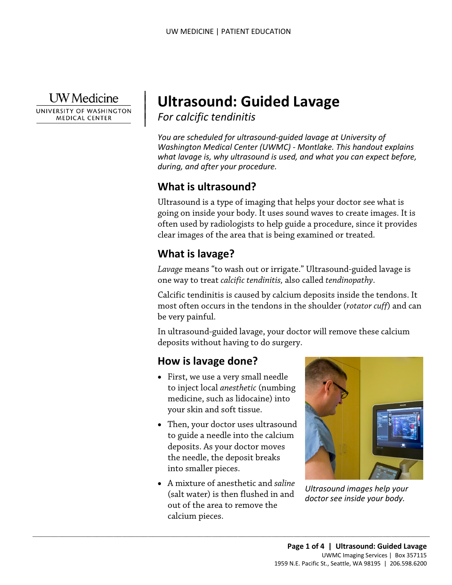**UW** Medicine

|

UNIVERSITY OF WASHINGTON **MEDICAL CENTER** 

# | **Ultrasound: Guided Lavage**

*For calcific tendinitis* | |

 *Washington Medical Center (UWMC) - Montlake. This handout explains You are scheduled for ultrasound-guided lavage at University of what lavage is, why ultrasound is used, and what you can expect before, during, and after your procedure.* 

# **What is ultrasound?**

Ultrasound is a type of imaging that helps your doctor see what is going on inside your body. It uses sound waves to create images. It is often used by radiologists to help guide a procedure, since it provides clear images of the area that is being examined or treated.

# **What is lavage?**

*Lavage* means "to wash out or irrigate." Ultrasound-guided lavage is one way to treat *calcific tendinitis,* also called *tendinopathy*.

Calcific tendinitis is caused by calcium deposits inside the tendons. It most often occurs in the tendons in the shoulder (*rotator cuff*) and can be very painful.

In ultrasound-guided lavage, your doctor will remove these calcium deposits without having to do surgery.

## **How is lavage done?**

- your skin and soft tissue. • First, we use a very small needle to inject local *anesthetic* (numbing medicine, such as lidocaine) into
- Then, your doctor uses ultrasound to guide a needle into the calcium deposits. As your doctor moves the needle, the deposit breaks into smaller pieces.
- calcium pieces. • A mixture of anesthetic and *saline*  (salt water) is then flushed in and calcium pieces. *Ultrasound images help your*  out of the area to remove the

 $\_$  , and the set of the set of the set of the set of the set of the set of the set of the set of the set of the set of the set of the set of the set of the set of the set of the set of the set of the set of the set of th



*doctor see inside your body.*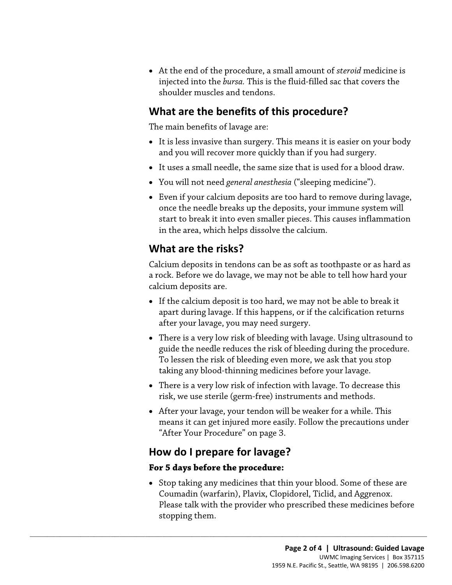shoulder muscles and tendons. • At the end of the procedure, a small amount of *steroid* medicine is injected into the *bursa.* This is the fluid-filled sac that covers the

#### **What are the benefits of this procedure?**

The main benefits of lavage are:

- and you will recover more quickly than if you had surgery. • It is less invasive than surgery. This means it is easier on your body
- It uses a small needle, the same size that is used for a blood draw.
- You will not need *general anesthesia* ("sleeping medicine").
- Even if your calcium deposits are too hard to remove during lavage, once the needle breaks up the deposits, your immune system will start to break it into even smaller pieces. This causes inflammation in the area, which helps dissolve the calcium.

# **What are the risks?**

 calcium deposits are. Calcium deposits in tendons can be as soft as toothpaste or as hard as a rock. Before we do lavage, we may not be able to tell how hard your

- after your lavage, you may need surgery. • If the calcium deposit is too hard, we may not be able to break it apart during lavage. If this happens, or if the calcification returns
- guide the needle reduces the risk of bleeding during the procedure.<br>To lessen the risk of bleeding even more, we ask that you stop • There is a very low risk of bleeding with lavage. Using ultrasound to taking any blood-thinning medicines before your lavage.
- risk, we use sterile (germ-free) instruments and methods. • There is a very low risk of infection with lavage. To decrease this
- After your lavage, your tendon will be weaker for a while. This means it can get injured more easily. Follow the precautions under "After Your Procedure" on page 3.

## **How do I prepare for lavage?**

 $\_$  ,  $\_$  ,  $\_$  ,  $\_$  ,  $\_$  ,  $\_$  ,  $\_$  ,  $\_$  ,  $\_$  ,  $\_$  ,  $\_$  ,  $\_$  ,  $\_$  ,  $\_$  ,  $\_$  ,  $\_$  ,  $\_$  ,  $\_$  ,  $\_$  ,  $\_$  ,  $\_$  ,  $\_$  ,  $\_$  ,  $\_$  ,  $\_$  ,  $\_$  ,  $\_$  ,  $\_$  ,  $\_$  ,  $\_$  ,  $\_$  ,  $\_$  ,  $\_$  ,  $\_$  ,  $\_$  ,  $\_$  ,  $\_$  ,

#### **For 5 days before the procedure:**

 stopping them. • Stop taking any medicines that thin your blood. Some of these are Coumadin (warfarin), Plavix, Clopidorel, Ticlid, and Aggrenox. Please talk with the provider who prescribed these medicines before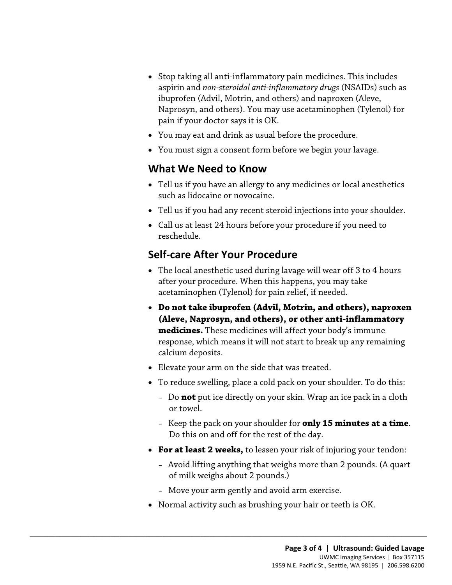- aspirin and *non-steroidal anti-inflammatory drugs* (NSAIDs) such as pain if your doctor says it is OK. • Stop taking all anti-inflammatory pain medicines. This includes ibuprofen (Advil, Motrin, and others) and naproxen (Aleve, Naprosyn, and others). You may use acetaminophen (Tylenol) for
- You may eat and drink as usual before the procedure.
- You must sign a consent form before we begin your lavage.

#### **What We Need to Know**

- Tell us if you have an allergy to any medicines or local anesthetics such as lidocaine or novocaine.
- Tell us if you had any recent steroid injections into your shoulder.
- Call us at least 24 hours before your procedure if you need to reschedule.

# **Self-care After Your Procedure**

- The local anesthetic used during lavage will wear off 3 to 4 hours after your procedure. When this happens, you may take acetaminophen (Tylenol) for pain relief, if needed.
- **Do not take ibuprofen (Advil, Motrin, and others), naproxen (Aleve, Naprosyn, and others), or other anti-inflammatory medicines.** These medicines will affect your body's immune response, which means it will not start to break up any remaining calcium deposits.
- Elevate your arm on the side that was treated.
- To reduce swelling, place a cold pack on your shoulder. To do this:
	- Do **not** put ice directly on your skin. Wrap an ice pack in a cloth or towel.
	- Do this on and off for the rest of the day. – Keep the pack on your shoulder for **only 15 minutes at a time**.
- **For at least 2 weeks,** to lessen your risk of injuring your tendon:
	- Avoid lifting anything that weighs more than 2 pounds. (A quart of milk weighs about 2 pounds.)
	- Move your arm gently and avoid arm exercise.

 $\_$  ,  $\_$  ,  $\_$  ,  $\_$  ,  $\_$  ,  $\_$  ,  $\_$  ,  $\_$  ,  $\_$  ,  $\_$  ,  $\_$  ,  $\_$  ,  $\_$  ,  $\_$  ,  $\_$  ,  $\_$  ,  $\_$  ,  $\_$  ,  $\_$  ,  $\_$  ,  $\_$  ,  $\_$  ,  $\_$  ,  $\_$  ,  $\_$  ,  $\_$  ,  $\_$  ,  $\_$  ,  $\_$  ,  $\_$  ,  $\_$  ,  $\_$  ,  $\_$  ,  $\_$  ,  $\_$  ,  $\_$  ,  $\_$  ,

• Normal activity such as brushing your hair or teeth is OK.